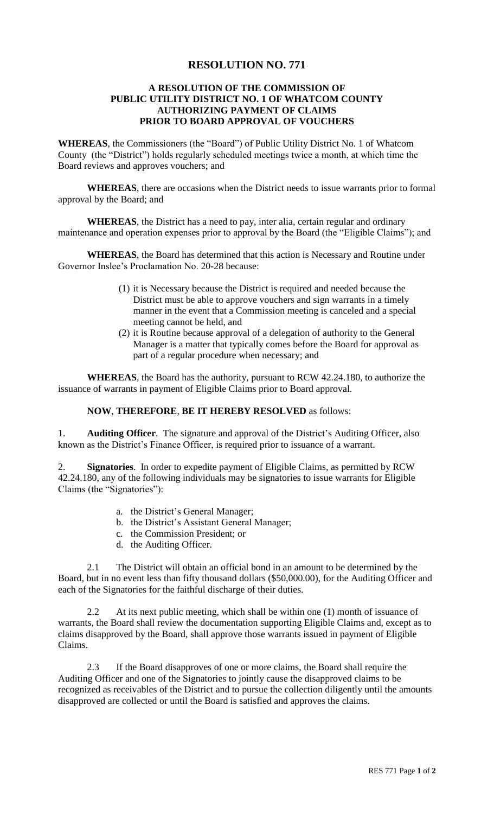## **RESOLUTION NO. 771**

## **A RESOLUTION OF THE COMMISSION OF PUBLIC UTILITY DISTRICT NO. 1 OF WHATCOM COUNTY AUTHORIZING PAYMENT OF CLAIMS PRIOR TO BOARD APPROVAL OF VOUCHERS**

**WHEREAS**, the Commissioners (the "Board") of Public Utility District No. 1 of Whatcom County (the "District") holds regularly scheduled meetings twice a month, at which time the Board reviews and approves vouchers; and

**WHEREAS**, there are occasions when the District needs to issue warrants prior to formal approval by the Board; and

**WHEREAS**, the District has a need to pay, inter alia, certain regular and ordinary maintenance and operation expenses prior to approval by the Board (the "Eligible Claims"); and

**WHEREAS**, the Board has determined that this action is Necessary and Routine under Governor Inslee's Proclamation No. 20-28 because:

- (1) it is Necessary because the District is required and needed because the District must be able to approve vouchers and sign warrants in a timely manner in the event that a Commission meeting is canceled and a special meeting cannot be held, and
- (2) it is Routine because approval of a delegation of authority to the General Manager is a matter that typically comes before the Board for approval as part of a regular procedure when necessary; and

**WHEREAS**, the Board has the authority, pursuant to RCW 42.24.180, to authorize the issuance of warrants in payment of Eligible Claims prior to Board approval.

## **NOW**, **THEREFORE**, **BE IT HEREBY RESOLVED** as follows:

1. **Auditing Officer**.The signature and approval of the District's Auditing Officer, also known as the District's Finance Officer, is required prior to issuance of a warrant.

2. **Signatories**. In order to expedite payment of Eligible Claims, as permitted by RCW 42.24.180, any of the following individuals may be signatories to issue warrants for Eligible Claims (the "Signatories"):

- a. the District's General Manager;
- b. the District's Assistant General Manager;
- c. the Commission President; or
- d. the Auditing Officer.

2.1 The District will obtain an official bond in an amount to be determined by the Board, but in no event less than fifty thousand dollars (\$50,000.00), for the Auditing Officer and each of the Signatories for the faithful discharge of their duties.

2.2 At its next public meeting, which shall be within one (1) month of issuance of warrants, the Board shall review the documentation supporting Eligible Claims and, except as to claims disapproved by the Board, shall approve those warrants issued in payment of Eligible Claims.

2.3 If the Board disapproves of one or more claims, the Board shall require the Auditing Officer and one of the Signatories to jointly cause the disapproved claims to be recognized as receivables of the District and to pursue the collection diligently until the amounts disapproved are collected or until the Board is satisfied and approves the claims.